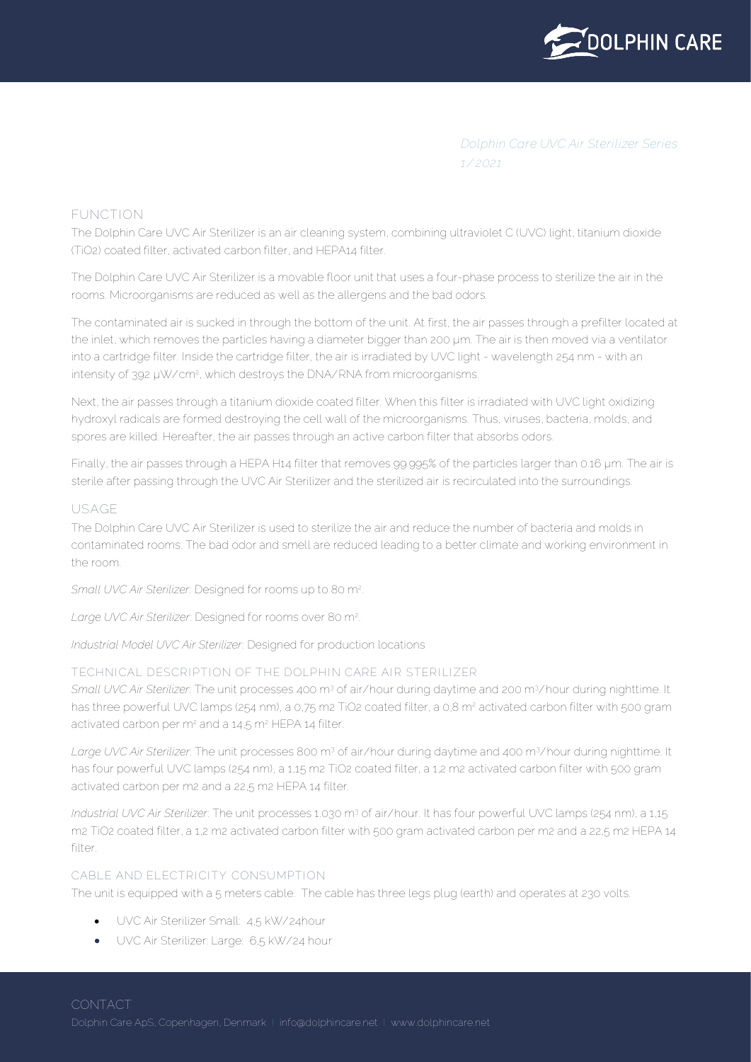

*Dolphin Care UVC Air Sterilizer Series 1/2021*

# **FUNCTION**

The Dolphin Care UVC Air Sterilizer is an air cleaning system, combining ultraviolet C (UVC) light, titanium dioxide (TiO2) coated filter, activated carbon filter, and HEPA14 filter.

The Dolphin Care UVC Air Sterilizer is a movable floor unit that uses a four-phase process to sterilize the air in the rooms. Microorganisms are reduced as well as the allergens and the bad odors.

The contaminated air is sucked in through the bottom of the unit. At first, the air passes through a prefilter located at the inlet, which removes the particles having a diameter bigger than 200 um. The air is then moved via a ventilator into a cartridge filter. Inside the cartridge filter, the air is irradiated by UVC light - wavelength 254 nm - with an intensity of 392 µW/cm<sup>2</sup>, which destroys the DNA/RNA from microorganisms.

Next, the air passes through a titanium dioxide coated filter. When this filter is irradiated with UVC light oxidizing hydroxyl radicals are formed destroying the cell wall of the microorganisms. Thus, viruses, bacteria, molds, and spores are killed. Hereafter, the air passes through an active carbon filter that absorbs odors.

Finally, the air passes through a HEPA H14 filter that removes 99.995% of the particles larger than 0.16 µm. The air is sterile after passing through the UVC Air Sterilizer and the sterilized air is recirculated into the surroundings.

# **USAGE**

The Dolphin Care UVC Air Sterilizer is used to sterilize the air and reduce the number of bacteria and molds in contaminated rooms. The bad odor and smell are reduced leading to a better climate and working environment in the room.

*Small UVC Air Sterilizer*: Designed for rooms up to 80 m<sup>2</sup>

*Large UVC Air Sterilizer*: Designed for rooms over 80 m<sup>2</sup>

*Industrial Model UVC Air Sterilizer*: Designed for production locations

# **TECHNICAL DESCRIPTION OF THE DOLPHIN CARE AIR STERILIZER**

*Small UVC Air Sterilizer*: The unit processes 400 m<sup>3</sup> of air/hour during daytime and 200 m<sup>3</sup>/hour during nighttime. It has three powerful UVC lamps (254 nm), a 0,75 m2 TiO2 coated filter, a 0,8 m<sup>2</sup> activated carbon filter with 500 gram activated carbon per m<sup>2</sup> and a 14,5 m<sup>2</sup> HEPA 14 filter.

*Large UVC Air Sterilizer*: The unit processes 800 m<sup>3</sup> of air/hour during daytime and 400 m<sup>3</sup>/hour during nighttime. It has four powerful UVC lamps (254 nm), a 1,15 m2 TiO2 coated filter, a 1,2 m2 activated carbon filter with 500 gram activated carbon per m2 and a 22,5 m2 HEPA 14 filter.

*Industrial UVC Air Sterilizer*: The unit processes 1.030 m<sup>3</sup> of air/hour. It has four powerful UVC lamps (254 nm), a 1,15 m2 TiO2 coated filter, a 1,2 m2 activated carbon filter with 500 gram activated carbon per m2 and a 22,5 m2 HEPA 14 filt $\alpha$ r.

# **CABLE AND ELECTRICITY CONSUMPTION**

The unit is equipped with a 5 meters cable. The cable has three legs plug (earth) and operates at 230 volts.

- UVC Air Sterilizer Small: 4,5 kW/24hour
- UVC Air Sterilizer: Large: 6,5 kW/24 hour

**CONTACT**